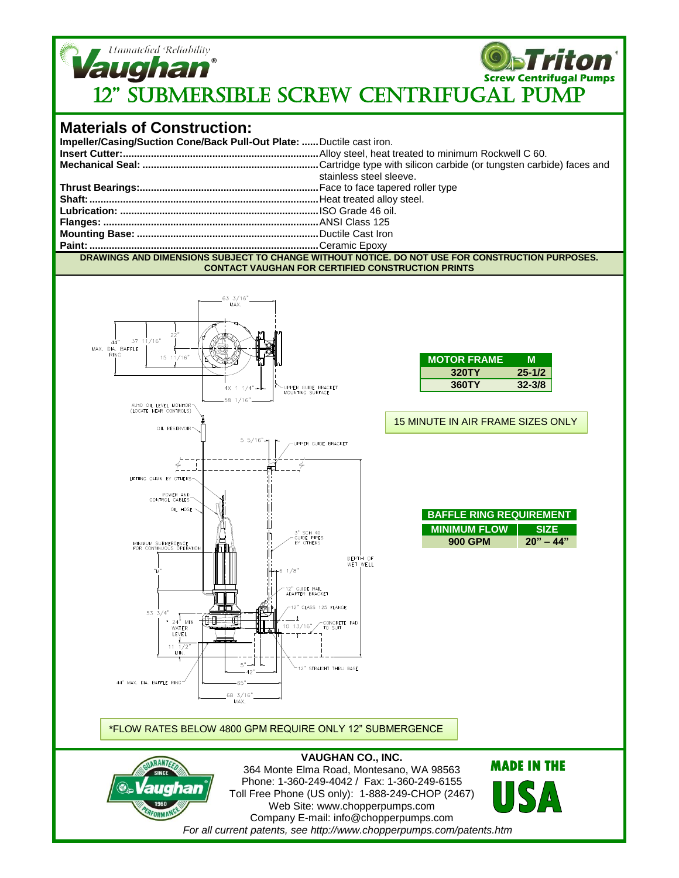